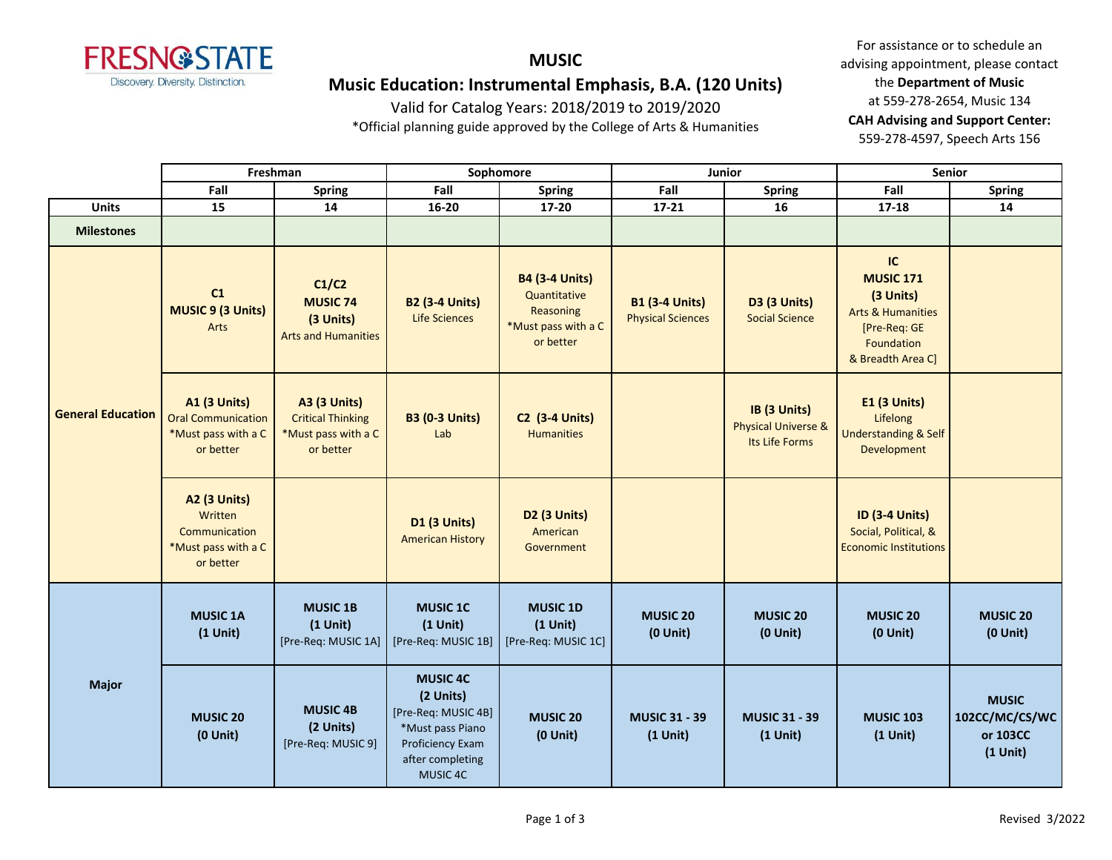

# **MUSIC Music Education: Instrumental Emphasis, B.A. (120 Units)**

Valid for Catalog Years: 2018/2019 to 2019/2020

\*Official planning guide approved by the College of Arts & Humanities

|                          | Freshman                                                                             |                                                                                     | Sophomore                                                                                                                   |                                                                                        | Junior                                            |                                                                  | Senior                                                                                                                        |                                                          |
|--------------------------|--------------------------------------------------------------------------------------|-------------------------------------------------------------------------------------|-----------------------------------------------------------------------------------------------------------------------------|----------------------------------------------------------------------------------------|---------------------------------------------------|------------------------------------------------------------------|-------------------------------------------------------------------------------------------------------------------------------|----------------------------------------------------------|
|                          | Fall                                                                                 | <b>Spring</b>                                                                       | Fall                                                                                                                        | <b>Spring</b>                                                                          | Fall                                              | <b>Spring</b>                                                    | Fall                                                                                                                          | <b>Spring</b>                                            |
| <b>Units</b>             | 15                                                                                   | 14                                                                                  | 16-20                                                                                                                       | 17-20                                                                                  | $17 - 21$                                         | 16                                                               | 17-18                                                                                                                         | 14                                                       |
| <b>Milestones</b>        |                                                                                      |                                                                                     |                                                                                                                             |                                                                                        |                                                   |                                                                  |                                                                                                                               |                                                          |
| <b>General Education</b> | C1<br><b>MUSIC 9 (3 Units)</b><br>Arts                                               | C1/C2<br><b>MUSIC 74</b><br>(3 Units)<br><b>Arts and Humanities</b>                 | <b>B2 (3-4 Units)</b><br><b>Life Sciences</b>                                                                               | <b>B4 (3-4 Units)</b><br>Quantitative<br>Reasoning<br>*Must pass with a C<br>or better | <b>B1 (3-4 Units)</b><br><b>Physical Sciences</b> | D3 (3 Units)<br><b>Social Science</b>                            | <b>IC</b><br><b>MUSIC 171</b><br>(3 Units)<br><b>Arts &amp; Humanities</b><br>[Pre-Req: GE<br>Foundation<br>& Breadth Area C] |                                                          |
|                          | <b>A1 (3 Units)</b><br><b>Oral Communication</b><br>*Must pass with a C<br>or better | <b>A3 (3 Units)</b><br><b>Critical Thinking</b><br>*Must pass with a C<br>or better | <b>B3 (0-3 Units)</b><br>Lab                                                                                                | <b>C2 (3-4 Units)</b><br><b>Humanities</b>                                             |                                                   | IB (3 Units)<br><b>Physical Universe &amp;</b><br>Its Life Forms | <b>E1 (3 Units)</b><br>Lifelong<br><b>Understanding &amp; Self</b><br>Development                                             |                                                          |
|                          | <b>A2 (3 Units)</b><br>Written<br>Communication<br>*Must pass with a C<br>or better  |                                                                                     | <b>D1 (3 Units)</b><br><b>American History</b>                                                                              | D2 (3 Units)<br>American<br>Government                                                 |                                                   |                                                                  | <b>ID (3-4 Units)</b><br>Social, Political, &<br><b>Economic Institutions</b>                                                 |                                                          |
| <b>Major</b>             | <b>MUSIC 1A</b><br>$(1$ Unit)                                                        | <b>MUSIC 1B</b><br>$(1$ Unit)<br>[Pre-Req: MUSIC 1A]                                | <b>MUSIC 1C</b><br>$(1$ Unit)<br>[Pre-Req: MUSIC 1B]                                                                        | <b>MUSIC 1D</b><br>$(1$ Unit)<br>[Pre-Req: MUSIC 1C]                                   | <b>MUSIC 20</b><br>$(0$ Unit $)$                  | <b>MUSIC 20</b><br>$(0$ Unit)                                    | <b>MUSIC 20</b><br>$(0$ Unit)                                                                                                 | <b>MUSIC 20</b><br>$(0$ Unit $)$                         |
|                          | <b>MUSIC 20</b><br>$(0$ Unit)                                                        | <b>MUSIC 4B</b><br>(2 Units)<br>[Pre-Req: MUSIC 9]                                  | <b>MUSIC 4C</b><br>(2 Units)<br>[Pre-Req: MUSIC 4B]<br>*Must pass Piano<br>Proficiency Exam<br>after completing<br>MUSIC 4C | <b>MUSIC 20</b><br>$(0$ Unit $)$                                                       | <b>MUSIC 31 - 39</b><br>$(1$ Unit)                | <b>MUSIC 31 - 39</b><br>$(1$ Unit)                               | <b>MUSIC 103</b><br>$(1$ Unit)                                                                                                | <b>MUSIC</b><br>102CC/MC/CS/WC<br>or 103CC<br>$(1$ Unit) |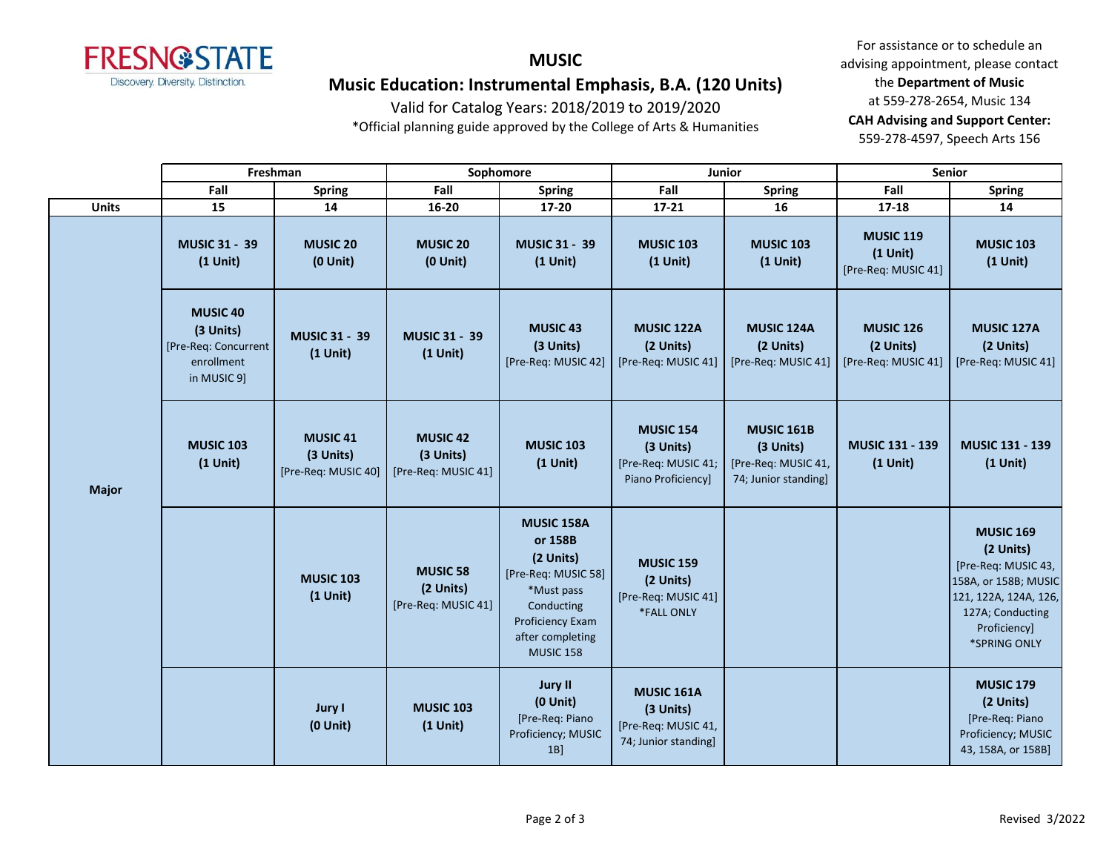

# **MUSIC Music Education: Instrumental Emphasis, B.A. (120 Units)**

Valid for Catalog Years: 2018/2019 to 2019/2020

\*Official planning guide approved by the College of Arts & Humanities

|              | Freshman                                                                          |                                                     | Sophomore                                           |                                                                                                                                                          | Junior                                                                        |                                                                               | <b>Senior</b>                                         |                                                                                                                                                           |
|--------------|-----------------------------------------------------------------------------------|-----------------------------------------------------|-----------------------------------------------------|----------------------------------------------------------------------------------------------------------------------------------------------------------|-------------------------------------------------------------------------------|-------------------------------------------------------------------------------|-------------------------------------------------------|-----------------------------------------------------------------------------------------------------------------------------------------------------------|
|              | Fall                                                                              | <b>Spring</b>                                       | Fall                                                | <b>Spring</b>                                                                                                                                            | Fall                                                                          | <b>Spring</b>                                                                 | Fall                                                  | <b>Spring</b>                                                                                                                                             |
| <b>Units</b> | 15                                                                                | 14                                                  | 16-20                                               | 17-20                                                                                                                                                    | $17 - 21$                                                                     | 16                                                                            | $17 - 18$                                             | 14                                                                                                                                                        |
| <b>Major</b> | <b>MUSIC 31 - 39</b><br>$(1$ Unit)                                                | <b>MUSIC 20</b><br>$(0$ Unit $)$                    | <b>MUSIC 20</b><br>$(0$ Unit $)$                    | <b>MUSIC 31 - 39</b><br>$(1$ Unit)                                                                                                                       | <b>MUSIC 103</b><br>$(1$ Unit)                                                | <b>MUSIC 103</b><br>$(1$ Unit)                                                | <b>MUSIC 119</b><br>$(1$ Unit)<br>[Pre-Req: MUSIC 41] | <b>MUSIC 103</b><br>$(1$ Unit)                                                                                                                            |
|              | <b>MUSIC 40</b><br>(3 Units)<br>[Pre-Req: Concurrent<br>enrollment<br>in MUSIC 9] | <b>MUSIC 31 - 39</b><br>$(1$ Unit)                  | <b>MUSIC 31 - 39</b><br>$(1$ Unit)                  | <b>MUSIC 43</b><br>(3 Units)<br>[Pre-Req: MUSIC 42]                                                                                                      | <b>MUSIC 122A</b><br>(2 Units)<br>[Pre-Req: MUSIC 41]                         | <b>MUSIC 124A</b><br>(2 Units)<br>[Pre-Req: MUSIC 41]                         | <b>MUSIC 126</b><br>(2 Units)<br>[Pre-Req: MUSIC 41]  | <b>MUSIC 127A</b><br>(2 Units)<br>[Pre-Req: MUSIC 41]                                                                                                     |
|              | <b>MUSIC 103</b><br>$(1$ Unit)                                                    | <b>MUSIC 41</b><br>(3 Units)<br>[Pre-Req: MUSIC 40] | <b>MUSIC 42</b><br>(3 Units)<br>[Pre-Req: MUSIC 41] | <b>MUSIC 103</b><br>$(1$ Unit)                                                                                                                           | <b>MUSIC 154</b><br>(3 Units)<br>[Pre-Req: MUSIC 41;<br>Piano Proficiency]    | <b>MUSIC 161B</b><br>(3 Units)<br>[Pre-Req: MUSIC 41,<br>74; Junior standing] | <b>MUSIC 131 - 139</b><br>$(1$ Unit)                  | <b>MUSIC 131 - 139</b><br>$(1$ Unit)                                                                                                                      |
|              |                                                                                   | <b>MUSIC 103</b><br>$(1$ Unit)                      | <b>MUSIC 58</b><br>(2 Units)<br>[Pre-Req: MUSIC 41] | <b>MUSIC 158A</b><br>or 158B<br>(2 Units)<br>[Pre-Req: MUSIC 58]<br>*Must pass<br>Conducting<br>Proficiency Exam<br>after completing<br><b>MUSIC 158</b> | <b>MUSIC 159</b><br>(2 Units)<br>[Pre-Req: MUSIC 41]<br>*FALL ONLY            |                                                                               |                                                       | <b>MUSIC 169</b><br>(2 Units)<br>[Pre-Req: MUSIC 43,<br>158A, or 158B; MUSIC<br>121, 122A, 124A, 126,<br>127A; Conducting<br>Proficiency]<br>*SPRING ONLY |
|              |                                                                                   | <b>Jury I</b><br>$(0$ Unit $)$                      | <b>MUSIC 103</b><br>$(1$ Unit)                      | Jury II<br>$(0$ Unit $)$<br>[Pre-Req: Piano<br>Proficiency; MUSIC<br>1B                                                                                  | <b>MUSIC 161A</b><br>(3 Units)<br>[Pre-Req: MUSIC 41,<br>74; Junior standing] |                                                                               |                                                       | <b>MUSIC 179</b><br>(2 Units)<br>[Pre-Req: Piano<br>Proficiency; MUSIC<br>43, 158A, or 158B]                                                              |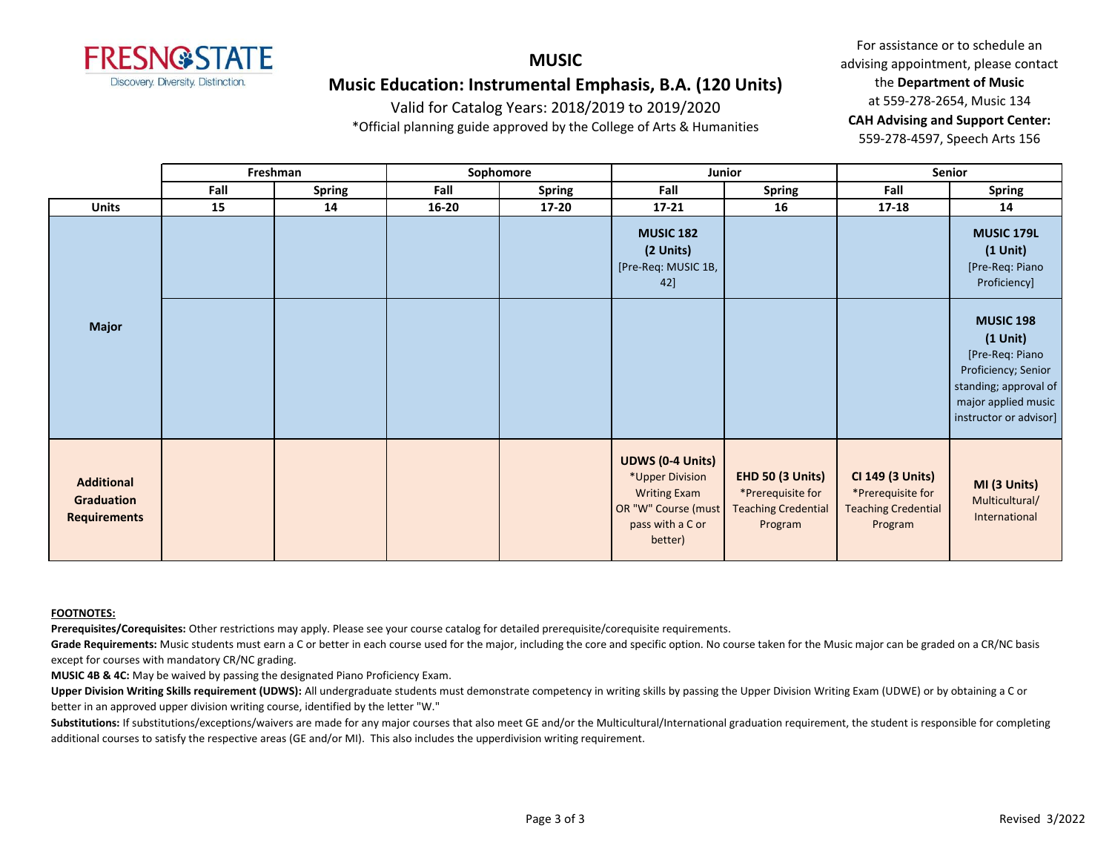

### **MUSIC Music Education: Instrumental Emphasis, B.A. (120 Units)**

Valid for Catalog Years: 2018/2019 to 2019/2020

\*Official planning guide approved by the College of Arts & Humanities

For assistance or to schedule an advising appointment, please contact the **Department of Music** at 559-278-2654, Music 134 **CAH Advising and Support Center:**  559-278-4597, Speech Arts 156

|                                                               |      | Freshman      |           | Sophomore     | Junior                                                                                                                  |                                                                                | Senior                                                                         |                                                                                                                                                       |
|---------------------------------------------------------------|------|---------------|-----------|---------------|-------------------------------------------------------------------------------------------------------------------------|--------------------------------------------------------------------------------|--------------------------------------------------------------------------------|-------------------------------------------------------------------------------------------------------------------------------------------------------|
|                                                               | Fall | <b>Spring</b> | Fall      | <b>Spring</b> | Fall                                                                                                                    | Spring                                                                         | Fall                                                                           | <b>Spring</b>                                                                                                                                         |
| <b>Units</b>                                                  | 15   | 14            | $16 - 20$ | $17 - 20$     | $17 - 21$                                                                                                               | 16                                                                             | 17-18                                                                          | 14                                                                                                                                                    |
| <b>Major</b>                                                  |      |               |           |               | <b>MUSIC 182</b><br>(2 Units)<br>[Pre-Req: MUSIC 1B,<br>42]                                                             |                                                                                |                                                                                | MUSIC 179L<br>$(1$ Unit $)$<br>[Pre-Req: Piano<br>Proficiency]                                                                                        |
|                                                               |      |               |           |               |                                                                                                                         |                                                                                |                                                                                | <b>MUSIC 198</b><br>$(1$ Unit $)$<br>[Pre-Req: Piano<br>Proficiency; Senior<br>standing; approval of<br>major applied music<br>instructor or advisor] |
| <b>Additional</b><br><b>Graduation</b><br><b>Requirements</b> |      |               |           |               | <b>UDWS (0-4 Units)</b><br>*Upper Division<br><b>Writing Exam</b><br>OR "W" Course (must<br>pass with a C or<br>better) | EHD 50 (3 Units)<br>*Prerequisite for<br><b>Teaching Credential</b><br>Program | CI 149 (3 Units)<br>*Prerequisite for<br><b>Teaching Credential</b><br>Program | MI (3 Units)<br>Multicultural/<br>International                                                                                                       |

#### **FOOTNOTES:**

**Prerequisites/Corequisites:** Other restrictions may apply. Please see your course catalog for detailed prerequisite/corequisite requirements.

Grade Requirements: Music students must earn a C or better in each course used for the major, including the core and specific option. No course taken for the Music major can be graded on a CR/NC basis except for courses with mandatory CR/NC grading.

**MUSIC 4B & 4C:** May be waived by passing the designated Piano Proficiency Exam.

Upper Division Writing Skills requirement (UDWS): All undergraduate students must demonstrate competency in writing skills by passing the Upper Division Writing Exam (UDWE) or by obtaining a C or better in an approved upper division writing course, identified by the letter "W."

Substitutions: If substitutions/exceptions/waivers are made for any major courses that also meet GE and/or the Multicultural/International graduation requirement, the student is responsible for completing additional courses to satisfy the respective areas (GE and/or MI). This also includes the upperdivision writing requirement.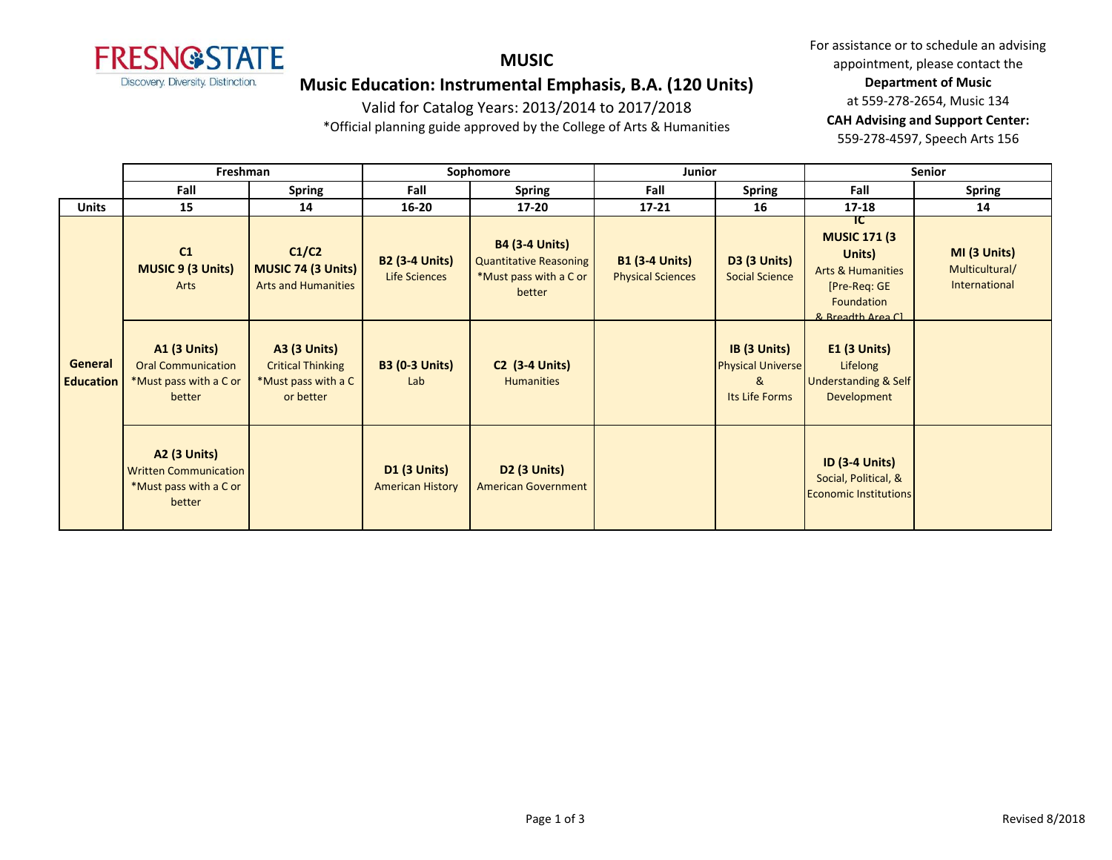

#### **MUSIC**

### **Music Education: Instrumental Emphasis, B.A. (120 Units)**

Valid for Catalog Years: 2013/2014 to 2017/2018

\*Official planning guide approved by the College of Arts & Humanities

|                             | Freshman                                                                                |                                                                                     | Sophomore                                      |                                                                                            | Junior                                            |                                                                 | <b>Senior</b>                                                                                                             |                                                 |
|-----------------------------|-----------------------------------------------------------------------------------------|-------------------------------------------------------------------------------------|------------------------------------------------|--------------------------------------------------------------------------------------------|---------------------------------------------------|-----------------------------------------------------------------|---------------------------------------------------------------------------------------------------------------------------|-------------------------------------------------|
|                             | Fall                                                                                    | <b>Spring</b>                                                                       | Fall                                           | <b>Spring</b>                                                                              | Fall                                              | <b>Spring</b>                                                   | Fall                                                                                                                      | <b>Spring</b>                                   |
| <b>Units</b>                | 15                                                                                      | 14                                                                                  | $16 - 20$                                      | $17 - 20$                                                                                  | $17 - 21$                                         | 16                                                              | $17 - 18$                                                                                                                 | 14                                              |
|                             | C1<br><b>MUSIC 9 (3 Units)</b><br>Arts                                                  | C1/C2<br>MUSIC 74 (3 Units)<br><b>Arts and Humanities</b>                           | <b>B2 (3-4 Units)</b><br>Life Sciences         | <b>B4 (3-4 Units)</b><br><b>Quantitative Reasoning</b><br>*Must pass with a C or<br>better | <b>B1 (3-4 Units)</b><br><b>Physical Sciences</b> | <b>D3 (3 Units)</b><br><b>Social Science</b>                    | TC.<br><b>MUSIC 171 (3)</b><br>Units)<br><b>Arts &amp; Humanities</b><br>[Pre-Req: GE<br>Foundation<br>8. Broadth Area Cl | MI (3 Units)<br>Multicultural/<br>International |
| General<br><b>Education</b> | <b>A1 (3 Units)</b><br><b>Oral Communication</b><br>*Must pass with a C or<br>better    | <b>A3 (3 Units)</b><br><b>Critical Thinking</b><br>*Must pass with a C<br>or better | <b>B3 (0-3 Units)</b><br>Lab                   | <b>C2 (3-4 Units)</b><br><b>Humanities</b>                                                 |                                                   | IB (3 Units)<br><b>Physical Universe</b><br>&<br>Its Life Forms | $E1$ (3 Units)<br>Lifelong<br><b>Understanding &amp; Self</b><br>Development                                              |                                                 |
|                             | <b>A2 (3 Units)</b><br><b>Written Communication</b><br>*Must pass with a C or<br>better |                                                                                     | <b>D1 (3 Units)</b><br><b>American History</b> | <b>D2 (3 Units)</b><br><b>American Government</b>                                          |                                                   |                                                                 | <b>ID (3-4 Units)</b><br>Social, Political, &<br><b>Economic Institutions</b>                                             |                                                 |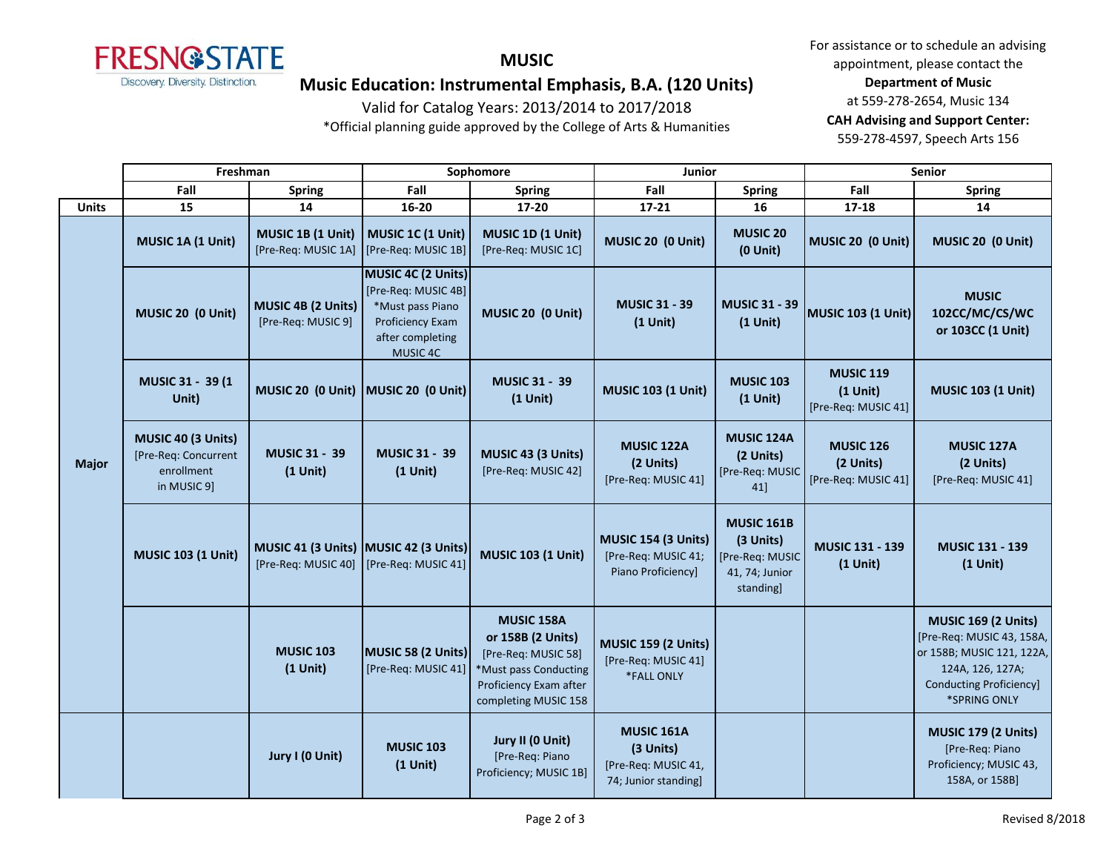

**MUSIC**

## **Music Education: Instrumental Emphasis, B.A. (120 Units)**

Valid for Catalog Years: 2013/2014 to 2017/2018

\*Official planning guide approved by the College of Arts & Humanities

|              | Freshman                                                                |                                                              | Sophomore                                                                                                         |                                                                                                                                   | <b>Junior</b>                                                                 |                                                                                  | <b>Senior</b>                                         |                                                                                                                                                            |
|--------------|-------------------------------------------------------------------------|--------------------------------------------------------------|-------------------------------------------------------------------------------------------------------------------|-----------------------------------------------------------------------------------------------------------------------------------|-------------------------------------------------------------------------------|----------------------------------------------------------------------------------|-------------------------------------------------------|------------------------------------------------------------------------------------------------------------------------------------------------------------|
|              | Fall                                                                    | <b>Spring</b>                                                | Fall                                                                                                              | <b>Spring</b>                                                                                                                     | Fall                                                                          | <b>Spring</b>                                                                    | Fall                                                  | <b>Spring</b>                                                                                                                                              |
| <b>Units</b> | 15                                                                      | 14                                                           | $16 - 20$                                                                                                         | $17 - 20$                                                                                                                         | 17-21                                                                         | 16                                                                               | $17 - 18$                                             | 14                                                                                                                                                         |
| <b>Major</b> | MUSIC 1A (1 Unit)                                                       | MUSIC 1B (1 Unit)<br>[Pre-Req: MUSIC 1A]                     | MUSIC 1C (1 Unit)<br>[Pre-Req: MUSIC 1B]                                                                          | MUSIC 1D (1 Unit)<br>[Pre-Req: MUSIC 1C]                                                                                          | MUSIC 20 (0 Unit)                                                             | <b>MUSIC 20</b><br>$(0$ Unit $)$                                                 | MUSIC 20 (0 Unit)                                     | MUSIC 20 (0 Unit)                                                                                                                                          |
|              | MUSIC 20 (0 Unit)                                                       | MUSIC 4B (2 Units)<br>[Pre-Req: MUSIC 9]                     | MUSIC 4C (2 Units)<br>[Pre-Req: MUSIC 4B]<br>*Must pass Piano<br>Proficiency Exam<br>after completing<br>MUSIC 4C | MUSIC 20 (0 Unit)                                                                                                                 | <b>MUSIC 31 - 39</b><br>$(1$ Unit)                                            | <b>MUSIC 31 - 39</b><br>$(1$ Unit)                                               | <b>MUSIC 103 (1 Unit)</b>                             | <b>MUSIC</b><br>102CC/MC/CS/WC<br>or 103CC (1 Unit)                                                                                                        |
|              | MUSIC 31 - 39 (1<br>Unit)                                               | MUSIC 20 (0 Unit)                                            | MUSIC 20 (0 Unit)                                                                                                 | <b>MUSIC 31 - 39</b><br>$(1$ Unit)                                                                                                | <b>MUSIC 103 (1 Unit)</b>                                                     | <b>MUSIC 103</b><br>$(1$ Unit)                                                   | <b>MUSIC 119</b><br>$(1$ Unit)<br>[Pre-Req: MUSIC 41] | <b>MUSIC 103 (1 Unit)</b>                                                                                                                                  |
|              | MUSIC 40 (3 Units)<br>[Pre-Req: Concurrent<br>enrollment<br>in MUSIC 9] | <b>MUSIC 31 - 39</b><br>$(1$ Unit)                           | <b>MUSIC 31 - 39</b><br>$(1$ Unit)                                                                                | MUSIC 43 (3 Units)<br>[Pre-Req: MUSIC 42]                                                                                         | MUSIC 122A<br>(2 Units)<br>[Pre-Req: MUSIC 41]                                | MUSIC 124A<br>(2 Units)<br>[Pre-Req: MUSIC<br>41]                                | <b>MUSIC 126</b><br>(2 Units)<br>[Pre-Req: MUSIC 41]  | MUSIC 127A<br>(2 Units)<br>[Pre-Req: MUSIC 41]                                                                                                             |
|              | <b>MUSIC 103 (1 Unit)</b>                                               | MUSIC 41 (3 Units) MUSIC 42 (3 Units)<br>[Pre-Req: MUSIC 40] | [Pre-Req: MUSIC 41]                                                                                               | <b>MUSIC 103 (1 Unit)</b>                                                                                                         | <b>MUSIC 154 (3 Units)</b><br>[Pre-Req: MUSIC 41;<br>Piano Proficiency]       | <b>MUSIC 161B</b><br>(3 Units)<br>[Pre-Req: MUSIC<br>41, 74; Junior<br>standing] | <b>MUSIC 131 - 139</b><br>$(1$ Unit)                  | <b>MUSIC 131 - 139</b><br>$(1$ Unit)                                                                                                                       |
|              |                                                                         | <b>MUSIC 103</b><br>$(1$ Unit)                               | MUSIC 58 (2 Units)<br>[Pre-Req: MUSIC 41]                                                                         | MUSIC 158A<br>or 158B (2 Units)<br>[Pre-Req: MUSIC 58]<br>*Must pass Conducting<br>Proficiency Exam after<br>completing MUSIC 158 | <b>MUSIC 159 (2 Units)</b><br>[Pre-Req: MUSIC 41]<br><b>*FALL ONLY</b>        |                                                                                  |                                                       | <b>MUSIC 169 (2 Units)</b><br>[Pre-Req: MUSIC 43, 158A,<br>or 158B; MUSIC 121, 122A,<br>124A, 126, 127A;<br><b>Conducting Proficiency]</b><br>*SPRING ONLY |
|              |                                                                         | Jury I (0 Unit)                                              | <b>MUSIC 103</b><br>$(1$ Unit)                                                                                    | Jury II (0 Unit)<br>[Pre-Req: Piano<br>Proficiency; MUSIC 1B]                                                                     | <b>MUSIC 161A</b><br>(3 Units)<br>[Pre-Req: MUSIC 41,<br>74; Junior standing] |                                                                                  |                                                       | <b>MUSIC 179 (2 Units)</b><br>[Pre-Req: Piano<br>Proficiency; MUSIC 43,<br>158A, or 158B]                                                                  |